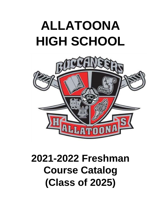# **ALLATOONA HIGH SCHOOL**



## **2021-2022 Freshman Course Catalog (Class of 2025)**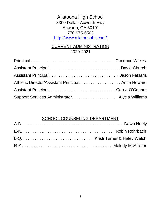Allatoona High School 3300 Dallas-Acworth Hwy Acworth, GA 30101 770-975-6503 <http://www.allatoonahs.com/>

#### CURRENT ADMINISTRATION 2020-2021

| Athletic Director/Assistant Principal. Amie Howard |  |
|----------------------------------------------------|--|
|                                                    |  |
|                                                    |  |

#### SCHOOL COUNSELING DEPARTMENT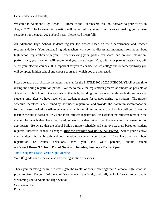Dear Students and Parents,

Welcome to Allatoona High School — Home of the Buccaneers! We look forward to your arrival in August 2021. The following information will be helpful to you and your parents in making your course selections for the 2021-2022 school year. Please read it carefully.

All Allatoona High School students register for classes based on their performance and teacher recommendations. Your current 8<sup>th</sup> grade teachers will soon be discussing important information about high school registration with you. After reviewing your grades, test scores and previous classroom performance, your teachers will recommend your core classes. You, with your parents' assistance, will select your elective courses. It is important for you to consider which college and/or career pathway you will complete in high school and choose courses in which you are interested.

Please be aware that Allatoona students register for the ENTIRE 2021-2022 SCHOOL YEAR at one time during the spring registration period. We try to make the registration process as smooth as possible at Allatoona High School. One way we do that is by building the master schedule for both teachers and students only after we have received all student requests for courses during registration. The master schedule, therefore, is determined by the student registration and provides the maximum accommodation for the courses desired by Allatoona students, with a minimum number of schedule conflicts. Since the master schedule is based entirely upon initial student registration, it is essential that students remain in the courses for which they have registered, unless it is determined that the academic placement is not appropriate. Be aware that the school builds a master schedule and employs teachers based on student requests; therefore, schedule changes *after the deadline will not be considered.* Select your elective courses after a thorough study and consideration by you and your parents. If you have questions about registration or course selections, then you and your parent(s) should attend our Virtual **Rising 9th Grade Parent Night** on **Thursday, January 21st at 6:30pm.** 

[Join Rising 9th Grade Parent Night Meeting](https://cobbk12-org.zoom.us/j/98984381895?pwd=dUJ1SmFEZVMvQ0VZZ1VUYVFRVVIwdz09)

Your 8<sup>th</sup> grade counselor can also answer registration questions.

Thank you for taking the time to investigate the wealth of course offerings that Allatoona High School is proud to offer. On behalf of the administrative team, the faculty and staff, we look forward to personally welcoming you to Allatoona High School.

Candace Wilkes Principal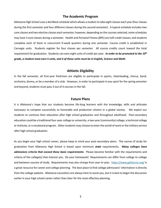#### **The Academic Program**

Allatoona High School uses a 4x4 Block schedule which allows a student to take eight classes each year (four classes during the first semester and four different classes during the second semester). A typical schedule includes two core classes and two elective classes each semester; however, depending on the courses selected, some schedules may have 3 core classes during a semester. Health and Personal Fitness (BPE) are half-credit classes, and students complete each of them in concurrent 9-week quarters during one semester. Course credit is established in Carnegie units. Students register for four classes per semester. All course credits count toward the total requirement for graduation. Students can earn eight units of credit per year. *In order to be promoted to the 10th grade, a student must earn 5 units, and 3 of those units must be in English, Science and Math*.

#### **Athletic Eligibility**

In the fall semester, all first-year freshmen are eligible to participate in sports, cheerleading, chorus, band, orchestra, drama, or be a member of a club. However, in order to participate in any sport for the spring semester and beyond, students must pass 3 out of 4 courses in the fall.

#### **Future Plans**

It is Allatoona's hope that our students become life-long learners with the knowledge, skills and attitudes necessary to compete successfully as honorable and productive citizens in a global society. We expect our students to continue their education after high school graduation and throughout adulthood. Post-secondary education could be a traditional four-year college or university, a two-year (community) college, a technical college or institute, or a vocational program. Other students may choose to enter the world of work or the military service after high school graduation.

As you begin your high school career, please keep in mind your post-secondary plans. The course of study for graduation from Allatoona High School is based upon minimum *state* requirements*. Many colleges have admissions criteria that exceed these basic requirements.* Please become familiar with the requirements and criteria of the college(s) that interest you. Do your homework! Requirements can differ from college to college and between courses of study. Requirements may also change from year to year. <https://www.gafutures.org/> is a great resource for career and college planning. The best place to find college admissions' information is directly from the college website. Allatoona counselors are always here to assist you, but it is best to begin the discussion earlier in your high school career rather than later for the most effective planning.

3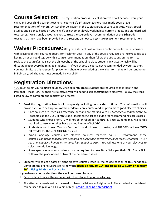Course Selection: The registration process is a collaborative effort between you, your child, and your child's current teachers. Your child's 8<sup>th</sup> grade teachers have made course level recommendations of Honors, On-Level or Co-Taught in the subject areas of Language Arts, Math, Social Studies and Science based on your child's achievement level, work habits, current grades, and standardized test scores. We strongly encourage you to trust the course level recommendation of the 8th grade teachers, as they have been provided with directions on how to best make placement recommendations.

**Waiver Procedures:** 8th grade students will receive a confirmation letter in February with a listing of their course requests for freshmen year. If any of the course requests are incorrect due to a keying error or you disagree with a course recommendation, then follow the directions on the form to replace the course(s). It is not the philosophy of the school to place students in classes which will be discouraging or overwhelming to students. \*\*If you choose a course not recommended by your teacher, you must indicate this request for placement change by completing the waiver form that will be sent home in February. All changes must be made by March 5<sup>th</sup>.

## **Registration Directions:**

YOU must select your **elective** courses. Since all ninth-grade students are required to take Health and Personal Fitness (BPE) as their first elective, you will need to select *seven* more electives. Follow the steps listed below to complete the registration process:

- 1. Read this registration handbook completely including course descriptions. This information will provide you with descriptions of the academic core courses and help you make good elective choices.
	- Core courses are listed as a reference only and are marked with **TR** *(Teacher Recommendation)*. Teachers use the CCSD Ninth Grade Placement Chart as a guide for recommending core classes.
	- Students who choose NJROTC will not be enrolled in Health/BPE since students may waive this required course when they have earned 3 units of NJROTC.
	- Students who choose "Combo Courses" (band, chorus, orchestra, and NJROTC) will use **TWO ELECTIVES** for these YEARLONG courses.
	- World language courses are elective courses; teachers do NOT recommend these courses. *Language teachers are prepared to guide their currently enrolled level 1 students (Fr. 1 / Sp. 1) in choosing honors vs. on-level high school courses.* You will use one of your electives to select a world language.
	- Some special education students may be required to take Study Skills per their IEP. Study Skills will take the place of one or two of their elective classes.
- 2. Students will select a total of eight elective courses listed in the course section of this handbook. Complete the online Microsoft form which **opens on January 19th and closes at 11:59pm on January 29th** . [Rising 9th Grade Elective Form](https://forms.office.com/Pages/ResponsePage.aspx?id=-x3OL5-ROEmquMR_D8kYLReP25BYgIFNu_dPk9GhUitUMDZSUDFIV1VJRzZPMzMzR09XM000Vzg3Ni4u)

**If you do not choose electives, they will be chosen for you.** 

- $\rightarrow$  Parents should review these courses with their students prior to selecting.
- 3. The attached spreadsheet can be used to plan out all 4 years of high school. The attached spreadsheet can be used to plan out all 4 years of high [Credit Tracking Spreadsheet](https://cobbk12org-my.sharepoint.com/:x:/g/personal/caroline_oconnor_cobbk12_org/EaphxUcWtQRBgUcQYal5y_4B7OQ5UxbzWKqej3NkQtegsw?e=KPq8dA)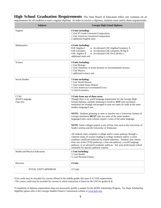**High School Graduation Requirements** The State Board of Education offers one common set of requirements for all students to earn a regular diploma. In order to receive a diploma, students must satisfy these requirements.

| <b>Subjects</b>                            | Georgia High School Diploma                                                                                                                                                                                                                                                                                                                                                                                               |
|--------------------------------------------|---------------------------------------------------------------------------------------------------------------------------------------------------------------------------------------------------------------------------------------------------------------------------------------------------------------------------------------------------------------------------------------------------------------------------|
| English                                    | <b>4 Units Including:</b><br>1 Unit 9th Grade Literature/Composition<br>1 Unit American Literature/Composition<br>2 additional English units                                                                                                                                                                                                                                                                              |
| Mathematics                                | <b>4 Units Including:</b><br>GSE Algebra I<br>or Accelerated GSE Algebra/Geometry A<br><b>GSE Geometry</b><br>or Accelerated GSE Geometry B/Alg II<br>GSE Algebra II<br>or Accelerated GSE Pre-Calculus 1<br>additional math unit                                                                                                                                                                                         |
| Science                                    | 4 Units Including:<br>1 Unit Biology<br>1 Unit Chemistry or Earth Systems or Environmental Science<br>1 Unit Physics<br>1 additional science unit                                                                                                                                                                                                                                                                         |
| <b>Social Studies</b>                      | 3 Units including:<br>1 Unit World History<br>1 Unit United States History<br>1/2 Unit American Government/Civics<br>$\frac{1}{2}$ Unit Economics                                                                                                                                                                                                                                                                         |
| <b>CTAE</b><br>World Language<br>Fine Arts | 3 Units from any of these areas<br>Though there is no world language requirement for the Georgia High<br>School diploma, students planning to enroll in ANY post-secondary<br>institution are strongly encouraged to earn two units of credit in the same<br>modern language/Latin.                                                                                                                                       |
|                                            | <b>NOTE:</b> Students planning to enter or transfer into a University System of<br>Georgia institution MUST take two units of the same modern<br>language/Latin; some schools require 3 units of the same language.                                                                                                                                                                                                       |
|                                            | <b>NOTE:</b> Some colleges require a unit of Fine Arts such as the University of<br>South Carolina and the University of Tennessee.                                                                                                                                                                                                                                                                                       |
|                                            | All students must complete a college and/or career pathway through a<br>coherent series of courses leading to college readiness and/or a career<br>readiness certificate endorsed by related industries. Students may choose<br>from any of the CTAE pathways, a fine arts pathway, a world language<br>pathway, or an advanced academic pathway. See your professional school<br>counselor for specific pathway courses. |
| Health and Physical Education              | 1 Unit Including:<br>1/2 Unit Health<br>1/2 Unit Personal Fitness                                                                                                                                                                                                                                                                                                                                                         |
| Electives                                  | 4 Units                                                                                                                                                                                                                                                                                                                                                                                                                   |
| TOTAL UNITS MINIMUM                        | 23 Units                                                                                                                                                                                                                                                                                                                                                                                                                  |

\*Unit credit may be awarded for courses offered in the middle grades that meet 9-12 GSE requirements.

\*No course credit may be awarded for courses in which instruction is based on the GSE for grades K-8.

\*Completion of diploma requirements does not necessarily qualify a student for the HOPE Scholarship Program. For Hope Scholarship eligibility please refer to the Georgia Student Finance Commission website a[t www.gsfc.org.](http://www.gsfc.org/)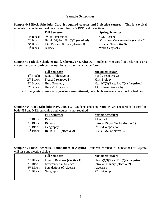#### **Sample Schedules**

**Sample 4x4 Block Schedule: Core & required courses and 3 elective courses** – This is a typical schedule that includes the 4 core classes, health & BPE, and 3 electives.

|                        | <b>Fall Semester</b>                         | <b>Spring Semester:</b>                |
|------------------------|----------------------------------------------|----------------------------------------|
| 1 <sup>st</sup> Block: | 9 <sup>th</sup> Lit/Composition              | GSE Algebra                            |
| 2 <sup>nd</sup> Block: | Health $(Q1)/Pers$ . Fit. $(Q2)$ (required)  | Visual Art: Comprehensive (elective 2) |
| 3 <sup>rd</sup> Block: | Intro Business $& \text{Techn}$ (elective 1) | General PE (elective 3)                |
| $4th Block$ :          | <b>Biology</b>                               | World Geography                        |
|                        |                                              |                                        |

**Sample 4x4 Block Schedule: Band, Chorus, or Orchestra** – Students who enroll in performing arts classes must enter **both course numbers** on their registration form.

|                                                                                                        | <b>Fall Semester</b>          | <b>Spring Semester:</b>                     |
|--------------------------------------------------------------------------------------------------------|-------------------------------|---------------------------------------------|
| 1 <sup>st</sup> Block:                                                                                 | Band 1 (elective 1)           | Band 2 (elective 2)                         |
| 2 <sup>nd</sup> Block:                                                                                 | French I (elective 3)         | <b>Hnrs Biology</b>                         |
| 3 <sup>rd</sup> Block:                                                                                 | <b>Hnrs Geometry</b>          | Health $(Q3)/Pers$ . Fit. $(Q4)$ (required) |
| 4 <sup>th</sup> Block:                                                                                 | Hnrs 9 <sup>th</sup> Lit/Comp | AP Human Geography                          |
| (Performing arts' classes are a <b>yearlong commitment</b> , taken both semesters on a block schedule) |                               |                                             |
|                                                                                                        |                               |                                             |

**Sample 4x4 Block Schedule: Navy JROTC** – Students choosing NJROTC are encouraged to enroll in both NS1 and NS2, but taking both courses is not required.

|                        | <b>Fall Semester</b>                | <b>Spring Semester:</b>            |
|------------------------|-------------------------------------|------------------------------------|
| 1 <sup>st</sup> Block: | Drama                               | Algebra 1                          |
| 2 <sup>nd</sup> Block: | <b>Biology</b>                      | Intro to Digital Tech (elective 1) |
| 3 <sup>rd</sup> Block: | Geography                           | 9 <sup>th</sup> Lit/Composition    |
|                        | $4th Block$ : ROTC NS1 (elective 2) | ROTC NS2 (elective 3)              |
|                        |                                     |                                    |

**Sample 4x4 Block Schedule: Foundations of Algebra** – Students enrolled in Foundations of Algebra will lose one elective choice.

|                        | <b>Fall Semester</b>                          | <b>Spring Semester:</b>                     |
|------------------------|-----------------------------------------------|---------------------------------------------|
| 1 <sup>st</sup> Block: | Intro to Business (elective 1)                | Health $(Q3)/Pers$ . Fit. $(Q4)$ (required) |
|                        | $2nd Block$ : Environmental Science           | Intro to Culinary (elective 2)              |
|                        | 3 <sup>rd</sup> Block: Foundations of Algebra | Algebra 1                                   |
| 4 <sup>th</sup> Block: | Geography                                     | 9 <sup>th</sup> Lit/Comp                    |
|                        |                                               |                                             |

 $\overline{\phantom{a}}$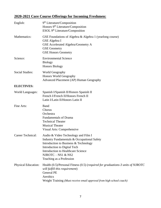#### **2020-2021 Core Course Offerings for Incoming Freshmen:**

| English:                   | 9 <sup>th</sup> Literature/Composition<br>Honors 9 <sup>th</sup> Literature/Composition<br>ESOL 9 <sup>th</sup> Literature/Composition                                                                                                                                |
|----------------------------|-----------------------------------------------------------------------------------------------------------------------------------------------------------------------------------------------------------------------------------------------------------------------|
| Mathematics:               | GSE Foundations of Algebra & Algebra 1 (yearlong course)<br>GSE Algebra I<br>GSE Accelerated Algebra/Geometry A<br><b>GSE</b> Geometry<br><b>GSE Honors Geometry</b>                                                                                                  |
| Science:                   | <b>Environmental Science</b><br><b>Biology</b><br><b>Honors Biology</b>                                                                                                                                                                                               |
| <b>Social Studies:</b>     | World Geography<br><b>Honors World Geography</b><br>Advanced Placement (AP) Human Geography                                                                                                                                                                           |
| <b>ELECTIVES:</b>          |                                                                                                                                                                                                                                                                       |
| <b>World Languages:</b>    | Spanish I/Spanish II/Honors Spanish II<br>French I/French II/Honors French II<br>Latin I/Latin II/Honors Latin II                                                                                                                                                     |
| Fine Arts:                 | <b>Band</b><br>Chorus<br>Orchestra<br><b>Fundamentals of Drama</b><br><b>Technical Theater</b><br><b>Musical Theater</b><br>Visual Arts: Comprehensive                                                                                                                |
| Career Technical:          | Audio & Video Technology and Film I<br><b>Industry Fundamentals &amp; Occupational Safety</b><br>Introduction to Business & Technology<br>Introduction to Digital Tech<br><b>Introduction to Healthcare Science</b><br>NJROTC - NS1 & NS2<br>Teaching as a Profession |
| <b>Physical Education:</b> | Health (0.5)/Personal Fitness (0.5) (required for graduations-3 units of NJROTC<br>will fulfill this requirement)<br><b>General PE</b><br>Aerobics<br>Weight Training (Must receive email approval from high school coach)                                            |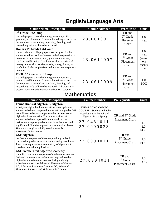## **English/Language Arts**

| <b>Course Name/Description</b>                                                                                                                                                                                                                                                                                                                                                                                                                                                                                                                                             | <b>Course Number</b>                                                                                                                                               | Prerequisite                                                     | <b>Units</b>                                            |
|----------------------------------------------------------------------------------------------------------------------------------------------------------------------------------------------------------------------------------------------------------------------------------------------------------------------------------------------------------------------------------------------------------------------------------------------------------------------------------------------------------------------------------------------------------------------------|--------------------------------------------------------------------------------------------------------------------------------------------------------------------|------------------------------------------------------------------|---------------------------------------------------------|
| 9 <sup>th</sup> Grade Lit/Comp<br>is a college prep class which integrates composition,<br>grammar, and literature. It covers the writing process; the<br>development of vocabulary, speaking, listening, and<br>researching skills will also be included.                                                                                                                                                                                                                                                                                                                 | 23.0610011                                                                                                                                                         | TR and<br>9 <sup>th</sup> Grade<br>Placement<br>Chart            | 1.0<br><b>EOC</b>                                       |
| Honors 9th Grade Lit/Comp<br>is an accelerated college prep course designed for the<br>student who has a serious interest in the interpretation of<br>literature. It integrates writing, grammar and usage,<br>speaking and listening. It includes reading a variety of<br>literary genres: short stories, novels, poetry, drama, and<br>nonfiction. It also emphasizes oral and written response to<br>literature.                                                                                                                                                        | 23.0610007                                                                                                                                                         | TR and<br>$9th$ Grade<br>Placement<br>Chart                      | 1.0<br><b>EOC</b><br>(earns<br>0.5<br>quality<br>point) |
| ESOL 9th Grade Lit/Comp<br>is a college prep class which integrates composition,<br>grammar and literature. It covers the writing process; the<br>development of vocabulary, speaking, listening and<br>researching skills will also be included. Adaptations in<br>presentation are made to accommodate ELL students.                                                                                                                                                                                                                                                     | 23.0610099                                                                                                                                                         | <b>TR</b> and<br>$9th$ Grade<br>Placement<br>Chart               | 1.0<br>EOC                                              |
| <b>Mathematics</b>                                                                                                                                                                                                                                                                                                                                                                                                                                                                                                                                                         |                                                                                                                                                                    |                                                                  |                                                         |
|                                                                                                                                                                                                                                                                                                                                                                                                                                                                                                                                                                            |                                                                                                                                                                    |                                                                  |                                                         |
|                                                                                                                                                                                                                                                                                                                                                                                                                                                                                                                                                                            |                                                                                                                                                                    | <b>Prerequisite</b>                                              | <b>Units</b>                                            |
| <b>Course Name/Description</b><br><b>Foundations of Algebra &amp; Algebra I</b><br>a first year high school mathematics course option for<br>students who have completed mathematics in grades 6-8<br>yet will need substantial support to bolster success in<br>high school mathematics. The course is aimed at<br>students who have reported low standardized test<br>performance in prior grades and/or have demonstrated<br>significant difficulties in previous mathematics classes.<br>There are specific eligibility requirements for<br>enrollment in this course. | <b>Course Number</b><br>*YEARLONG COMBO<br><b>COURSE:</b> Students will take<br>Foundations in the Fall and<br>Algebra I In the Spring<br>27.0481011<br>27.0990023 | $TR$ and $9th$ Grade<br><b>Placement Chart</b>                   | 1.0<br>1.0<br>EOC                                       |
| <b>GSE Algebra I</b><br>the first in a sequence of three required high school<br>courses designed to ensure career and college readiness.<br>The course represents a discrete study of algebra with<br>correlated statistics applications.                                                                                                                                                                                                                                                                                                                                 | 27.0990011                                                                                                                                                         | <b>TR</b> and<br>9 <sup>th</sup> Grade<br><b>Placement Chart</b> | 1.0<br>EOC                                              |

Placement Statistics, and Multivariable Calculus.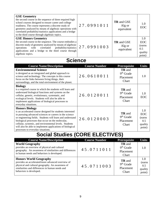| <b>GSE Geometry</b><br>the second course in the sequence of three required high<br>school courses designed to ensure career and college<br>readiness. The course represents a discrete study of<br>geometry analyzed by means of algebraic operations with<br>correlated probability/statistics applications and a bridge<br>to the third course through algebraic topics. | 27.0991011 | <b>TR</b> and GSE<br>Alg or<br>equivalent | 1.0<br><b>EOC</b>                                        |
|----------------------------------------------------------------------------------------------------------------------------------------------------------------------------------------------------------------------------------------------------------------------------------------------------------------------------------------------------------------------------|------------|-------------------------------------------|----------------------------------------------------------|
| <b>GSE Honors Geometry</b><br>the second course in the sequence. The course embodies a<br>discrete study of geometry analyzed by means of algebraic<br>operations with correlated probability/statistics 27.0991003<br>applications and a bridge to the third course through<br>algebraic topics.                                                                          |            | TR and GSE<br>Alg or<br>equivalent        | 1.0<br><b>EOC</b><br>(earns)<br>0.5<br>quality<br>point) |

### **Science**

| <b>Course Name/Description</b>                                                                                                                                                                                                                                                                                                                                                                                              | <b>Course Number</b> | <b>Prerequisite</b>                                       | Units                                                   |
|-----------------------------------------------------------------------------------------------------------------------------------------------------------------------------------------------------------------------------------------------------------------------------------------------------------------------------------------------------------------------------------------------------------------------------|----------------------|-----------------------------------------------------------|---------------------------------------------------------|
| <b>Environmental Science</b><br>is designed as an integrated and global approach to<br>science and technology. The concepts in this course<br>focus on the links between living things, their<br>surroundings, and the total environment of the planet.                                                                                                                                                                     | 26.0610011           | <b>TR</b> and<br>$9th$ Grade<br>Placement<br>Chart        | 1.0                                                     |
| <b>Biology</b><br>is a required course in which the students will learn and<br>understand biological functions and systems on the<br>cellular, genetic, evolutionary, systematic, and<br>ecological levels. Students will also be able to<br>implement applications of biological processes to<br>everyday situations.                                                                                                      | 26.0120011           | <b>TR</b> and<br>$9th$ Grade<br>Placement<br>Chart        | 1.0<br>EOC                                              |
| <b>Honors Biology</b><br>is an accelerated course designed for students interested<br>in pursuing advanced sciences or careers in the science<br>or engineering fields. Students will learn and understand<br>biological processes that occur on the molecular,<br>cellular, systemic, and environmental levels. Students<br>will also be able to implement applications of biological<br>processes to everyday situations. | 26.0120003           | <b>TR</b> and<br>$9th$ Grade<br>Placement<br><b>Chart</b> | 1.0<br><b>EOC</b><br>(earns<br>0.5<br>quality<br>point) |

## **Social Studies (CORE ELECTIVES)**

| <b>Course Name/Description</b>                                                                                                                                                                                       | <b>Course Number</b> | Prerequisite                                       | <b>Units</b>                              |
|----------------------------------------------------------------------------------------------------------------------------------------------------------------------------------------------------------------------|----------------------|----------------------------------------------------|-------------------------------------------|
| <b>World Geography</b><br>provides an overview of physical and cultural<br>geography. An awareness of similarities and differences<br>in human needs and behaviors is developed.                                     | 45.0711011           | <b>TR</b> and<br>$9th$ Grade<br>Placement<br>Chart | 1.0                                       |
| <b>Honors World Geography</b><br>provides an accelerated/more advanced overview of<br>physical and cultural geography. An awareness of<br>similarities and differences in human needs and<br>behaviors is developed. | 45.0711003           | <b>TR</b> and<br>$9th$ Grade<br>Placement<br>Chart | 1.0<br>(earns<br>0.5<br>quality<br>point) |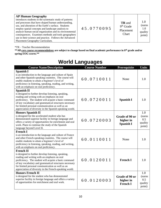| <b>AP Human Geography</b>                                                                                                                                                                                                                                                                                                                      |            |                                                    |                                           |
|------------------------------------------------------------------------------------------------------------------------------------------------------------------------------------------------------------------------------------------------------------------------------------------------------------------------------------------------|------------|----------------------------------------------------|-------------------------------------------|
| introduces students to the systematic study of patterns<br>and processes that have shaped human understanding,<br>use, and alteration of the Earth's surface. Students<br>employ spatial concepts and landscape analysis to<br>analyze human social organization and its environmental<br>consequences. Examines methods and tools geographers | 45.0770095 | <b>TR</b> and<br>$9th$ Grade<br>Placement<br>Chart | 1.0<br>(earns<br>1.0<br>quality<br>point) |
| use in their science and practice. Follows the Advanced                                                                                                                                                                                                                                                                                        |            |                                                    |                                           |
| Placement Geography Curriculum.                                                                                                                                                                                                                                                                                                                |            |                                                    |                                           |

\*TR – Teacher Recommendation

**\*\*All** *core course recommendations* **are subject to change based on final academic performance in 8th grade and/or spring EOG scores.\*\***

## **World Languages**

| <b>Course Name/Description</b>                                                                                                                                                                                                                                                                                                                              | <b>Course Number</b> | Prerequisite                                    | Units                                     |
|-------------------------------------------------------------------------------------------------------------------------------------------------------------------------------------------------------------------------------------------------------------------------------------------------------------------------------------------------------------|----------------------|-------------------------------------------------|-------------------------------------------|
| Spanish I<br>is an introduction to the language and culture of Spain<br>and other Spanish-speaking countries. The course will<br>enable students to attain a beginner's level of<br>proficiency in listening, speaking, reading, and writing,<br>with an emphasis on oral proficiency.                                                                      | 60.0710011           | None                                            | 1.0                                       |
| <b>Spanish II</b><br>is designed to further develop listening, speaking,<br>reading and writing with an emphasis on oral<br>proficiency. The student will acquire a basic command<br>of key vocabulary and grammatical structures necessary<br>for limited personal communication as well as an<br>appreciation of diversity in the Spanish-speaking world. | 60.0720011           | <b>Spanish I</b>                                | 1.0                                       |
| <b>Honors Spanish II</b><br>is designed for the accelerated student who has<br>demonstrated superior facility in foreign language and<br>offers a variety of opportunities for enrichment and oral<br>work. Plans to continue the study of the Spanish<br>language beyond Level II.                                                                         | 60.0720003           | Grade of 90 or<br>higher in<br><b>Spanish I</b> | 1.0<br>(earns<br>0.5<br>quality<br>point) |
| <b>French I</b><br>is an introduction to the language and culture of France<br>and other French-speaking countries. The course will<br>enable students to attain a beginner's level of<br>proficiency in listening, speaking, reading, and writing,<br>with an emphasis on oral proficiency.                                                                | 60.0110011           | None                                            | 1.0                                       |
| <b>French II</b><br>is designed to further develop listening, speaking,<br>reading and writing with an emphasis on oral<br>proficiency. The student will acquire a basic command<br>of key vocabulary and grammatical structures necessary<br>for limited personal communication as well as an<br>appreciation of diversity in the French-speaking world.   | 60.0120011           | <b>French I</b>                                 | 1.0                                       |
| <b>Honors French II</b><br>is designed for the student who has demonstrated<br>superior facility in foreign language and offers a variety<br>of opportunities for enrichment and oral work.                                                                                                                                                                 | 60.0120003           | Grade of 90 or<br>higher in<br><b>French I</b>  | 1.0<br>(earns<br>0.5<br>quality<br>point) |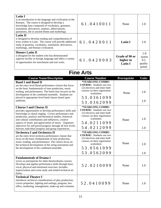| <b>Latin I</b><br>is an introduction to the language and civilization of the<br>Romans. The course is designed to develop a<br>knowledge base composed of vocabulary, grammar,<br>translation, derivatives, mottoes, abbreviations,<br>quotations, life in ancient Rome and mythology.                                                                                                                                                             | 61.0410011                                                                                                                                                    | None                                          | 1.0                                       |
|----------------------------------------------------------------------------------------------------------------------------------------------------------------------------------------------------------------------------------------------------------------------------------------------------------------------------------------------------------------------------------------------------------------------------------------------------|---------------------------------------------------------------------------------------------------------------------------------------------------------------|-----------------------------------------------|-------------------------------------------|
| <b>Latin II</b><br>is designed to develop reading and comprehension of<br>texts written in Latin. The course will provide additional<br>study of gramma, vocabulary, translation, derivatives,<br>mythology, and Roman civilization.                                                                                                                                                                                                               | 61.0420011                                                                                                                                                    | <b>Latin I</b>                                | 1.0                                       |
| <b>Honors Latin II</b><br>is designed for the student who has demonstrated<br>superior facility in foreign language and offers a variety<br>of opportunities for enrichment and oral work.                                                                                                                                                                                                                                                         | 61.0420003                                                                                                                                                    | Grade of 90 or<br>higher in<br><b>Latin I</b> | 1.0<br>(earns<br>0.5<br>quality<br>point) |
|                                                                                                                                                                                                                                                                                                                                                                                                                                                    | <b>Fine Arts</b>                                                                                                                                              |                                               |                                           |
| <b>Course Name/Description</b>                                                                                                                                                                                                                                                                                                                                                                                                                     | <b>Course Number</b>                                                                                                                                          | Prerequisite                                  | <b>Units</b>                              |
| <b>Band I and Band II</b><br>are the entry level Band performance classes that focus<br>on the basic fundamentals of tone production, music<br>reading, and performance. The band class focuses on the<br>development of the combined ensemble. Students are<br>placed in appropriate level band classes based upon<br>auditions.                                                                                                                  | *YEARLONG COMBO<br><b>COURSE:</b> Students use two<br>(2) electives and enter both<br>courses on their registration<br>worksheet.<br>53.0361099<br>53.0362099 | None                                          | 1.0<br>1.0                                |
| <b>Chorus I and Chorus II</b><br>provides opportunities to develop performance skills and<br>knowledge in choral singing. Covers performance and<br>production, analysis and theoretical studies, historical<br>and cultural contributions and influences, creative<br>aspects of music and appreciation of music. Organizes<br>objectives for self-paced progress through all four levels.<br>Stresses individual progress and group experiences. | *YEARLONG COMBO<br><b>COURSE:</b> Students use two<br>(2) electives and enter both<br>courses on their registration<br>worksheet.<br>54.0211099<br>54.0212099 | None                                          | 1.0<br>1.0                                |
| <b>Orchestra I and Orchestra II</b><br>are the entry level orchestra performance classes that<br>focus on the basic fundamentals of tone production,<br>music reading, and performance. The classes focus on<br>the technical development of the string instrument and<br>the development of the combined ensemble.                                                                                                                                | *YEARLONG COMBO<br><b>COURSE:</b> Students use two<br>(2) electives and enter both<br>courses on their registration<br>worksheet.<br>53.0561099<br>53.0562099 | None                                          | 1.0<br>1.0                                |
| <b>Fundamentals of Drama I</b><br>serves as prerequisite for other theatre/drama courses.<br>Develops and applies performance skills through basic<br>vocal, physical and emotional exercises; includes<br>improvisation and scene study and related technical art<br>forms.                                                                                                                                                                       | 52.0210099                                                                                                                                                    | None                                          | 1.0                                       |
| <b>Technical Theatre I</b><br>introduces technical considerations of play production;<br>covers properties, lighting and settings, program, box<br>office, marketing, management, make-up and costumes.                                                                                                                                                                                                                                            | 52.0410099                                                                                                                                                    | None                                          | 1.0                                       |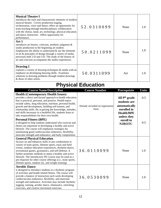| <b>Musical Theatre I</b><br>introduces the style and characteristic elements of modern<br>musical theatre. Covers production staging,<br>orchestration, voice and dance; offers an opportunity for<br>team teaching through interdisciplinary collaboration<br>with the chorus, band, art, technology, physical education<br>and dance instructors. Offers opportunity for<br>performance.                              | 52.0310099                                | None                                                                                                          | 1.0          |
|-------------------------------------------------------------------------------------------------------------------------------------------------------------------------------------------------------------------------------------------------------------------------------------------------------------------------------------------------------------------------------------------------------------------------|-------------------------------------------|---------------------------------------------------------------------------------------------------------------|--------------|
| Art 1<br>introduces art history, criticism, aesthetic judgment &<br>studio production to the beginning art student.<br>Emphasizes the ability to understand $\&$ use the elements<br>of art & principles of design through a variety of media<br>processes both 2-D and 3-D. The study of the history of<br>art and criticism accompanies the studio experiences.                                                       | 50.0211099                                | None                                                                                                          | 1.0          |
| <b>Drawing I</b><br>explores a variety of drawing techniques & media with an<br>emphasis on developing drawing skills. Examines<br>solutions to drawing problems through student drawings<br>& those of other artists.                                                                                                                                                                                                  | 50.0311099                                | Art                                                                                                           | 1.0          |
| <b>Physical Education</b>                                                                                                                                                                                                                                                                                                                                                                                               |                                           |                                                                                                               |              |
| <b>Course Name/Description</b>                                                                                                                                                                                                                                                                                                                                                                                          | <b>Course Number</b>                      | Prerequisite                                                                                                  | <b>Units</b> |
| <b>Health (Contemporary Health Issues)</b>                                                                                                                                                                                                                                                                                                                                                                              |                                           |                                                                                                               |              |
| provides a direct and factual approach to health education<br>that is practical, personal, and positive. Health topics<br>include safety, drug education, nutrition, personal health,<br>growth and development, building self-esteem, and<br>relationship skills. By acquiring the knowledge, attitudes,<br>and skills necessary to a healthful life, students learn to<br>take responsibilities for their own health. | Already recorded on registration<br>form. | All 9 <sup>th</sup> grade<br>students are<br>automatically<br>enrolled in<br><b>Health/BPE</b><br>unless they | 0.5          |
| <b>Personal Fitness (BPE)</b><br>is designed to help students understand why exercise and<br>fitness are important in developing a healthy and active<br>lifestyle. The course will emphasize strategies for<br>maintaining good cardiovascular endurance, flexibility,<br>muscular strength and endurance, and body composition.                                                                                       |                                           | enroll in<br><b>NJROTC</b>                                                                                    | 0.5          |
| <b>General Physical Education</b><br>focuses on and enhances skills in any combination or<br>variety of team sports, lifetime sports, track and field<br>events, outdoor education experiences, rhythmic/dance,<br>recreational games, gymnastics, and self-defense. It                                                                                                                                                 | 36.0110099                                | None                                                                                                          | 1.0          |
| further promotes methods to attain a healthy and active<br>lifestyle. The Introductory PE Course may be used as a<br>pre-requisite for other course offerings (i.e., team sports,<br>lifetime sports, outdoor ed,, and weight training)                                                                                                                                                                                 |                                           |                                                                                                               |              |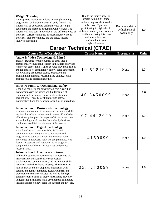| <b>Weight Training</b><br>is designed to introduce students to a weight-training<br>program that will promote over-all body fitness. The<br>student will be exposed to different types of weight<br>equipment and methods of training with weights. The<br>student will also gain knowledge of the different types of<br>exercises, correct techniques of executing the various<br>exercises, proper breathing, and the safety factors<br>involved in spotting. | Due to the limited space in<br>weight training, 9 <sup>th</sup> grade<br>students may not elect to take<br>this class. If you are<br>participating in high school<br>athletics, contact your coach via<br>email about taking this class<br>and attach the email<br>confirmation to your<br>registration form. | Recommendation<br>by high school<br>coach only | 1.0 |
|-----------------------------------------------------------------------------------------------------------------------------------------------------------------------------------------------------------------------------------------------------------------------------------------------------------------------------------------------------------------------------------------------------------------------------------------------------------------|---------------------------------------------------------------------------------------------------------------------------------------------------------------------------------------------------------------------------------------------------------------------------------------------------------------|------------------------------------------------|-----|
|-----------------------------------------------------------------------------------------------------------------------------------------------------------------------------------------------------------------------------------------------------------------------------------------------------------------------------------------------------------------------------------------------------------------------------------------------------------------|---------------------------------------------------------------------------------------------------------------------------------------------------------------------------------------------------------------------------------------------------------------------------------------------------------------|------------------------------------------------|-----|

## **Career Technical (CTAE)**

| <b>Course Name/Description</b>                                                                                                                                                                                                                                                                                                                                                                                                                                                                                                                                                                                          | <b>Course Number</b> | Prerequisite | <b>Units</b> |
|-------------------------------------------------------------------------------------------------------------------------------------------------------------------------------------------------------------------------------------------------------------------------------------------------------------------------------------------------------------------------------------------------------------------------------------------------------------------------------------------------------------------------------------------------------------------------------------------------------------------------|----------------------|--------------|--------------|
| Audio & Video Technology & Film I<br>prepares students for employment or entry into a<br>postsecondary education program in the audio and video<br>technology career field. Topics covered may include, but<br>are not limited to: terminology, safety, basic equipment,<br>script writing, production teams, production and<br>programming, lighting, recording and editing, studio<br>production, and professional ethics.                                                                                                                                                                                            | 10.5181099           | None         | 1.0          |
| <b>Industry Fund. &amp; Occupational Safety</b><br>is the first course in the construction core curriculum<br>that encompasses the basics and fundamentals of<br>common skills spanning a variety of construction<br>occupations. These basic skills include safety,<br>mathematics, hand tools, power tools, blueprint reading.                                                                                                                                                                                                                                                                                        | 46.5450099           | None         | 1.0          |
| <b>Introduction to Business &amp; Technology</b><br>provides an overview of business and technology skills<br>required for today's business environment. Knowledge<br>of business principles, the impact of financial decisions,<br>and technology proficiencies demanded by business<br>combine to establish the elements of this course.                                                                                                                                                                                                                                                                              | 07.4413099           | None         | 1.0          |
| <b>Introduction to Digital Technology</b><br>is the foundational course for Web & Digital<br>Communications, Programming, and Advanced<br>Programming pathways. Exposure to foundational<br>knowledge in hardware, software, programming, web<br>design, IT support, and networks are all taught in a<br>computer lab with hands-on activities and project<br>focused-tasks.                                                                                                                                                                                                                                            | 11.4150099           | None         | 1.0          |
| <b>Introduction to Healthcare Science</b><br>will enable students to receive initial exposure to the<br>many Healthcare Science careers as well as<br>employability, communication, and technology skills<br>necessary in the healthcare industry. The concepts of<br>human growth and development, interaction with<br>patients and family members, health, wellness, and<br>preventative care are evaluated, as well as the legal,<br>ethical responsibilities of today's healthcare provider.<br>Fundamental healthcare skills development is initiated<br>including microbiology, basic life support and first aid. | 25.5210099           | None         | 1.0          |